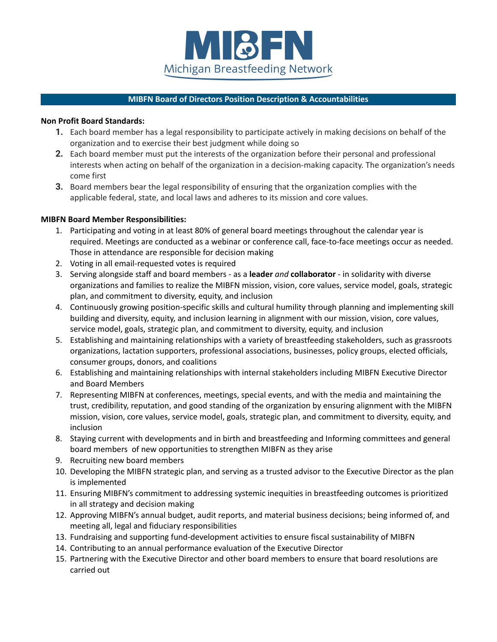

# **MIBFN Board of Directors Position Description & Accountabilities**

## **Non Profit Board Standards:**

- **1.** Each board member has a legal responsibility to participate actively in making decisions on behalf of the organization and to exercise their best judgment while doing so
- **2.** Each board member must put the interests of the organization before their personal and professional interests when acting on behalf of the organization in a decision-making capacity. The organization's needs come first
- **3.** Board members bear the legal responsibility of ensuring that the organization complies with the applicable federal, state, and local laws and adheres to its mission and core values.

# **MIBFN Board Member Responsibilities:**

- 1. Participating and voting in at least 80% of general board meetings throughout the calendar year is required. Meetings are conducted as a webinar or conference call, face-to-face meetings occur as needed. Those in attendance are responsible for decision making
- 2. Voting in all email-requested votes is required
- 3. Serving alongside staff and board members as a **leader** *and* **collaborator** in solidarity with diverse organizations and families to realize the MIBFN mission, vision, core values, service model, goals, strategic plan, and commitment to diversity, equity, and inclusion
- 4. Continuously growing position-specific skills and cultural humility through planning and implementing skill building and diversity, equity, and inclusion learning in alignment with our mission, vision, core values, service model, goals, strategic plan, and commitment to diversity, equity, and inclusion
- 5. Establishing and maintaining relationships with a variety of breastfeeding stakeholders, such as grassroots organizations, lactation supporters, professional associations, businesses, policy groups, elected officials, consumer groups, donors, and coalitions
- 6. Establishing and maintaining relationships with internal stakeholders including MIBFN Executive Director and Board Members
- 7. Representing MIBFN at conferences, meetings, special events, and with the media and maintaining the trust, credibility, reputation, and good standing of the organization by ensuring alignment with the MIBFN mission, vision, core values, service model, goals, strategic plan, and commitment to diversity, equity, and inclusion
- 8. Staying current with developments and in birth and breastfeeding and Informing committees and general board members of new opportunities to strengthen MIBFN as they arise
- 9. Recruiting new board members
- 10. Developing the MIBFN strategic plan, and serving as a trusted advisor to the Executive Director as the plan is implemented
- 11. Ensuring MIBFN's commitment to addressing systemic inequities in breastfeeding outcomes is prioritized in all strategy and decision making
- 12. Approving MIBFN's annual budget, audit reports, and material business decisions; being informed of, and meeting all, legal and fiduciary responsibilities
- 13. Fundraising and supporting fund-development activities to ensure fiscal sustainability of MIBFN
- 14. Contributing to an annual performance evaluation of the Executive Director
- 15. Partnering with the Executive Director and other board members to ensure that board resolutions are carried out